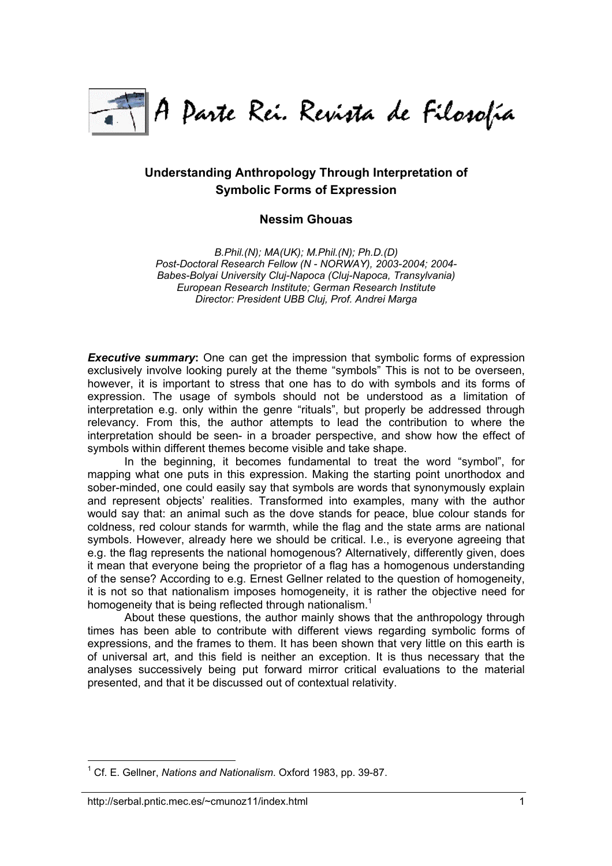

# **Understanding Anthropology Through Interpretation of Symbolic Forms of Expression**

# **Nessim Ghouas**

*B.Phil.(N); MA(UK); M.Phil.(N); Ph.D.(D) Post-Doctoral Research Fellow (N - NORWAY), 2003-2004; 2004- Babes-Bolyai University Cluj-Napoca (Cluj-Napoca, Transylvania) European Research Institute; German Research Institute Director: President UBB Cluj, Prof. Andrei Marga*

*Executive summary***:** One can get the impression that symbolic forms of expression exclusively involve looking purely at the theme "symbols" This is not to be overseen, however, it is important to stress that one has to do with symbols and its forms of expression. The usage of symbols should not be understood as a limitation of interpretation e.g. only within the genre "rituals", but properly be addressed through relevancy. From this, the author attempts to lead the contribution to where the interpretation should be seen- in a broader perspective, and show how the effect of symbols within different themes become visible and take shape.

In the beginning, it becomes fundamental to treat the word "symbol", for mapping what one puts in this expression. Making the starting point unorthodox and sober-minded, one could easily say that symbols are words that synonymously explain and represent objects' realities. Transformed into examples, many with the author would say that: an animal such as the dove stands for peace, blue colour stands for coldness, red colour stands for warmth, while the flag and the state arms are national symbols. However, already here we should be critical. I.e., is everyone agreeing that e.g. the flag represents the national homogenous? Alternatively, differently given, does it mean that everyone being the proprietor of a flag has a homogenous understanding of the sense? According to e.g. Ernest Gellner related to the question of homogeneity, it is not so that nationalism imposes homogeneity, it is rather the objective need for homogeneity that is being reflected through nationalism.<sup>[1](#page-0-0)</sup>

About these questions, the author mainly shows that the anthropology through times has been able to contribute with different views regarding symbolic forms of expressions, and the frames to them. It has been shown that very little on this earth is of universal art, and this field is neither an exception. It is thus necessary that the analyses successively being put forward mirror critical evaluations to the material presented, and that it be discussed out of contextual relativity.

<span id="page-0-0"></span> $\overline{a}$ 1 Cf. E. Gellner, *Nations and Nationalism*. Oxford 1983, pp. 39-87.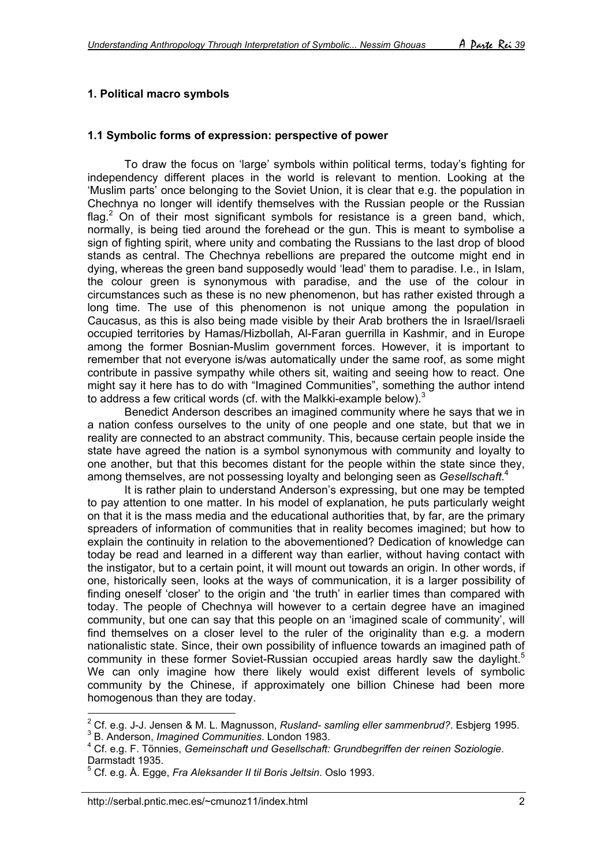# **1. Political macro symbols**

#### **1.1 Symbolic forms of expression: perspective of power**

To draw the focus on 'large' symbols within political terms, today's fighting for independency different places in the world is relevant to mention. Looking at the 'Muslim parts' once belonging to the Soviet Union, it is clear that e.g. the population in Chechnya no longer will identify themselves with the Russian people or the Russian flag.<sup>[2](#page-1-0)</sup> On of their most significant symbols for resistance is a green band, which, normally, is being tied around the forehead or the gun. This is meant to symbolise a sign of fighting spirit, where unity and combating the Russians to the last drop of blood stands as central. The Chechnya rebellions are prepared the outcome might end in dying, whereas the green band supposedly would 'lead' them to paradise. I.e., in Islam, the colour green is synonymous with paradise, and the use of the colour in circumstances such as these is no new phenomenon, but has rather existed through a long time. The use of this phenomenon is not unique among the population in Caucasus, as this is also being made visible by their Arab brothers the in Israel/Israeli occupied territories by Hamas/Hizbollah, Al-Faran guerrilla in Kashmir, and in Europe among the former Bosnian-Muslim government forces. However, it is important to remember that not everyone is/was automatically under the same roof, as some might contribute in passive sympathy while others sit, waiting and seeing how to react. One might say it here has to do with "Imagined Communities", something the author intend to address a few critical words (cf. with the Malkki-example below).<sup>[3](#page-1-1)</sup>

Benedict Anderson describes an imagined community where he says that we in a nation confess ourselves to the unity of one people and one state, but that we in reality are connected to an abstract community. This, because certain people inside the state have agreed the nation is a symbol synonymous with community and loyalty to one another, but that this becomes distant for the people within the state since they, among themselves, are not possessing loyalty and belonging seen as *Gesellschaft*. [4](#page-1-2)

It is rather plain to understand Anderson's expressing, but one may be tempted to pay attention to one matter. In his model of explanation, he puts particularly weight on that it is the mass media and the educational authorities that, by far, are the primary spreaders of information of communities that in reality becomes imagined; but how to explain the continuity in relation to the abovementioned? Dedication of knowledge can today be read and learned in a different way than earlier, without having contact with the instigator, but to a certain point, it will mount out towards an origin. In other words, if one, historically seen, looks at the ways of communication, it is a larger possibility of finding oneself 'closer' to the origin and 'the truth' in earlier times than compared with today. The people of Chechnya will however to a certain degree have an imagined community, but one can say that this people on an 'imagined scale of community', will find themselves on a closer level to the ruler of the originality than e.g. a modern nationalistic state. Since, their own possibility of influence towards an imagined path of community in these former Soviet-Russian occupied areas hardly saw the daylight.<sup>[5](#page-1-3)</sup> We can only imagine how there likely would exist different levels of symbolic community by the Chinese, if approximately one billion Chinese had been more homogenous than they are today.

<span id="page-1-1"></span>B. Anderson, *Imagined Communities*. London 1983.

<span id="page-1-0"></span> $\overline{a}$ <sup>2</sup> Cf. e.g. J-J. Jensen & M. L. Magnusson, *Rusland- samling eller sammenbrud?*. Esbjerg 1995.<br><sup>3</sup> P. Andersen, Imagined Communities, London 1993.

<span id="page-1-2"></span><sup>4</sup> Cf. e.g. F. Tönnies, *Gemeinschaft und Gesellschaft: Grundbegriffen der reinen Soziologie*. Darmstadt 1935.

<span id="page-1-3"></span><sup>5</sup> Cf. e.g. Å. Egge, *Fra Aleksander II til Boris Jeltsin*. Oslo 1993.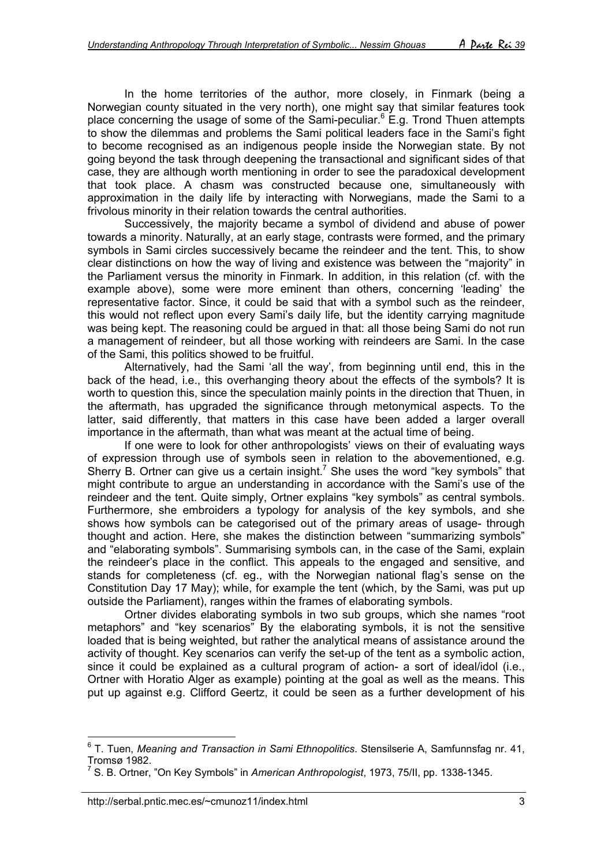In the home territories of the author, more closely, in Finmark (being a Norwegian county situated in the very north), one might say that similar features took place concerning the usage of some of the Sami-peculiar.<sup>6</sup> E.g. Trond Thuen attempts to show the dilemmas and problems the Sami political leaders face in the Sami's fight to become recognised as an indigenous people inside the Norwegian state. By not going beyond the task through deepening the transactional and significant sides of that case, they are although worth mentioning in order to see the paradoxical development that took place. A chasm was constructed because one, simultaneously with approximation in the daily life by interacting with Norwegians, made the Sami to a frivolous minority in their relation towards the central authorities.

Successively, the majority became a symbol of dividend and abuse of power towards a minority. Naturally, at an early stage, contrasts were formed, and the primary symbols in Sami circles successively became the reindeer and the tent. This, to show clear distinctions on how the way of living and existence was between the "majority" in the Parliament versus the minority in Finmark. In addition, in this relation (cf. with the example above), some were more eminent than others, concerning 'leading' the representative factor. Since, it could be said that with a symbol such as the reindeer, this would not reflect upon every Sami's daily life, but the identity carrying magnitude was being kept. The reasoning could be argued in that: all those being Sami do not run a management of reindeer, but all those working with reindeers are Sami. In the case of the Sami, this politics showed to be fruitful.

Alternatively, had the Sami 'all the way', from beginning until end, this in the back of the head, i.e., this overhanging theory about the effects of the symbols? It is worth to question this, since the speculation mainly points in the direction that Thuen, in the aftermath, has upgraded the significance through metonymical aspects. To the latter, said differently, that matters in this case have been added a larger overall importance in the aftermath, than what was meant at the actual time of being.

If one were to look for other anthropologists' views on their of evaluating ways of expression through use of symbols seen in relation to the abovementioned, e.g. Sherry B. Ortner can give us a certain insight.<sup>7</sup> She uses the word "key symbols" that might contribute to argue an understanding in accordance with the Sami's use of the reindeer and the tent. Quite simply, Ortner explains "key symbols" as central symbols. Furthermore, she embroiders a typology for analysis of the key symbols, and she shows how symbols can be categorised out of the primary areas of usage- through thought and action. Here, she makes the distinction between "summarizing symbols" and "elaborating symbols". Summarising symbols can, in the case of the Sami, explain the reindeer's place in the conflict. This appeals to the engaged and sensitive, and stands for completeness (cf. eg., with the Norwegian national flag's sense on the Constitution Day 17 May); while, for example the tent (which, by the Sami, was put up outside the Parliament), ranges within the frames of elaborating symbols.

Ortner divides elaborating symbols in two sub groups, which she names "root metaphors" and "key scenarios" By the elaborating symbols, it is not the sensitive loaded that is being weighted, but rather the analytical means of assistance around the activity of thought. Key scenarios can verify the set-up of the tent as a symbolic action, since it could be explained as a cultural program of action- a sort of ideal/idol (i.e., Ortner with Horatio Alger as example) pointing at the goal as well as the means. This put up against e.g. Clifford Geertz, it could be seen as a further development of his

 $\overline{a}$ 

<span id="page-2-0"></span><sup>6</sup> T. Tuen, *Meaning and Transaction in Sami Ethnopolitics*. Stensilserie A, Samfunnsfag nr. 41, Tromsø 1982.

<span id="page-2-1"></span><sup>7</sup> S. B. Ortner, "On Key Symbols" in *American Anthropologist*, 1973, 75/II, pp. 1338-1345.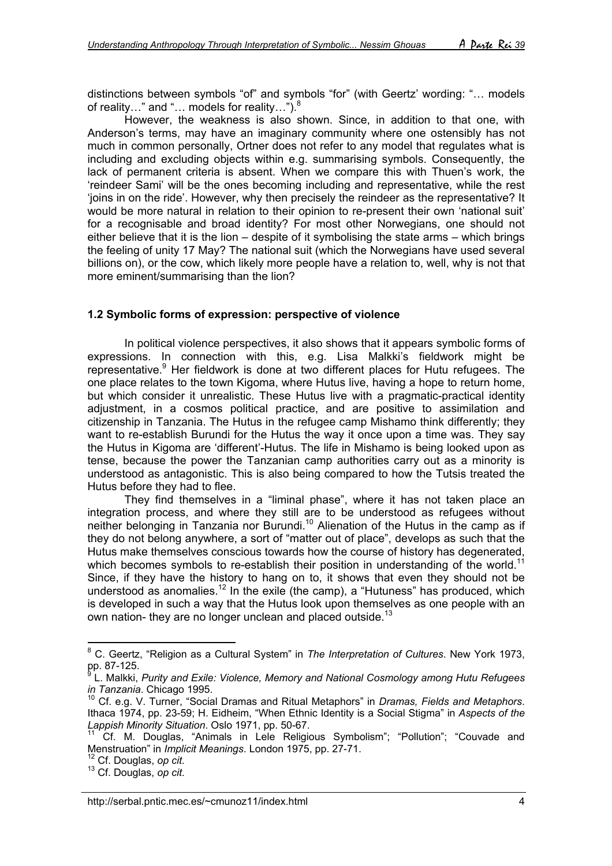distinctions between symbols "of" and symbols "for" (with Geertz' wording: "… models of reality..." and "... models for reality..."). $8$ 

However, the weakness is also shown. Since, in addition to that one, with Anderson's terms, may have an imaginary community where one ostensibly has not much in common personally, Ortner does not refer to any model that regulates what is including and excluding objects within e.g. summarising symbols. Consequently, the lack of permanent criteria is absent. When we compare this with Thuen's work, the 'reindeer Sami' will be the ones becoming including and representative, while the rest 'joins in on the ride'. However, why then precisely the reindeer as the representative? It would be more natural in relation to their opinion to re-present their own 'national suit' for a recognisable and broad identity? For most other Norwegians, one should not either believe that it is the lion – despite of it symbolising the state arms – which brings the feeling of unity 17 May? The national suit (which the Norwegians have used several billions on), or the cow, which likely more people have a relation to, well, why is not that more eminent/summarising than the lion?

#### **1.2 Symbolic forms of expression: perspective of violence**

In political violence perspectives, it also shows that it appears symbolic forms of expressions. In connection with this, e.g. Lisa Malkki's fieldwork might be representative.<sup>[9](#page-3-1)</sup> Her fieldwork is done at two different places for Hutu refugees. The one place relates to the town Kigoma, where Hutus live, having a hope to return home, but which consider it unrealistic. These Hutus live with a pragmatic-practical identity adjustment, in a cosmos political practice, and are positive to assimilation and citizenship in Tanzania. The Hutus in the refugee camp Mishamo think differently; they want to re-establish Burundi for the Hutus the way it once upon a time was. They say the Hutus in Kigoma are 'different'-Hutus. The life in Mishamo is being looked upon as tense, because the power the Tanzanian camp authorities carry out as a minority is understood as antagonistic. This is also being compared to how the Tutsis treated the Hutus before they had to flee.

They find themselves in a "liminal phase", where it has not taken place an integration process, and where they still are to be understood as refugees without neither belonging in Tanzania nor Burundi.<sup>10</sup> Alienation of the Hutus in the camp as if they do not belong anywhere, a sort of "matter out of place", develops as such that the Hutus make themselves conscious towards how the course of history has degenerated, which becomes symbols to re-establish their position in understanding of the world.<sup>[11](#page-3-3)</sup> Since, if they have the history to hang on to, it shows that even they should not be understood as anomalies.<sup>12</sup> In the exile (the camp), a "Hutuness" has produced, which is developed in such a way that the Hutus look upon themselves as one people with an own nation- they are no longer unclean and placed outside.<sup>[13](#page-3-5)</sup>

<span id="page-3-0"></span> 8 C. Geertz, "Religion as a Cultural System" in *The Interpretation of Cultures*. New York 1973, pp. 87-125.<br><sup>9</sup> L. Molkki

<span id="page-3-1"></span>L. Malkki, *Purity and Exile: Violence, Memory and National Cosmology among Hutu Refugees in Tanzania*. Chicago 1995.<br><sup>10</sup> Cf. e.g. V. Turner, "Social Dramas and Ritual Metaphors" in *Dramas, Fields and Metaphors*.

<span id="page-3-2"></span>Ithaca 1974, pp. 23-59; H. Eidheim, "When Ethnic Identity is a Social Stigma" in *Aspects of the*

<span id="page-3-3"></span>Cf. M. Douglas, "Animals in Lele Religious Symbolism"; "Pollution"; "Couvade and Menstruation" in *Implicit Meanings*. London 1975, pp. 27-71.<br><sup>12</sup> Cf. Douglas, *op cit*.<br><sup>13</sup> Cf. Douglas, *op cit*.

<span id="page-3-4"></span>

<span id="page-3-5"></span>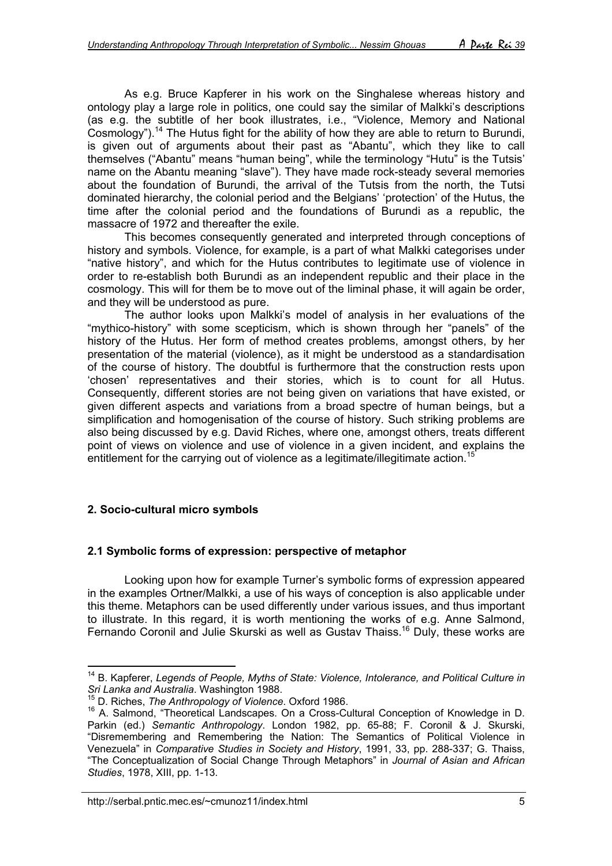As e.g. Bruce Kapferer in his work on the Singhalese whereas history and ontology play a large role in politics, one could say the similar of Malkki's descriptions (as e.g. the subtitle of her book illustrates, i.e., "Violence, Memory and National Cosmology").<sup>14</sup> The Hutus fight for the ability of how they are able to return to Burundi, is given out of arguments about their past as "Abantu", which they like to call themselves ("Abantu" means "human being", while the terminology "Hutu" is the Tutsis' name on the Abantu meaning "slave"). They have made rock-steady several memories about the foundation of Burundi, the arrival of the Tutsis from the north, the Tutsi dominated hierarchy, the colonial period and the Belgians' 'protection' of the Hutus, the time after the colonial period and the foundations of Burundi as a republic, the massacre of 1972 and thereafter the exile.

This becomes consequently generated and interpreted through conceptions of history and symbols. Violence, for example, is a part of what Malkki categorises under "native history", and which for the Hutus contributes to legitimate use of violence in order to re-establish both Burundi as an independent republic and their place in the cosmology. This will for them be to move out of the liminal phase, it will again be order, and they will be understood as pure.

The author looks upon Malkki's model of analysis in her evaluations of the "mythico-history" with some scepticism, which is shown through her "panels" of the history of the Hutus. Her form of method creates problems, amongst others, by her presentation of the material (violence), as it might be understood as a standardisation of the course of history. The doubtful is furthermore that the construction rests upon 'chosen' representatives and their stories, which is to count for all Hutus. Consequently, different stories are not being given on variations that have existed, or given different aspects and variations from a broad spectre of human beings, but a simplification and homogenisation of the course of history. Such striking problems are also being discussed by e.g. David Riches, where one, amongst others, treats different point of views on violence and use of violence in a given incident, and explains the entitlement for the carrying out of violence as a legitimate/illegitimate action.<sup>[15](#page-4-1)</sup>

### **2. Socio-cultural micro symbols**

 $\overline{a}$ 

### **2.1 Symbolic forms of expression: perspective of metaphor**

Looking upon how for example Turner's symbolic forms of expression appeared in the examples Ortner/Malkki, a use of his ways of conception is also applicable under this theme. Metaphors can be used differently under various issues, and thus important to illustrate. In this regard, it is worth mentioning the works of e.g. Anne Salmond, Fernando Coronil and Julie Skurski as well as Gustav Thaiss.<sup>16</sup> Duly, these works are

<span id="page-4-0"></span><sup>&</sup>lt;sup>14</sup> B. Kapferer, *Legends of People, Myths of State: Violence, Intolerance, and Political Culture in*<br>*Sri Lanka and Australia.* Washington 1988.

<span id="page-4-1"></span><sup>&</sup>lt;sup>15</sup> D. Riches, *The Anthropology of Violence*. Oxford 1986.

<span id="page-4-2"></span><sup>&</sup>lt;sup>16</sup> A. Salmond, "Theoretical Landscapes. On a Cross-Cultural Conception of Knowledge in D. Parkin (ed.) *Semantic Anthropology*. London 1982, pp. 65-88; F. Coronil & J. Skurski, "Disremembering and Remembering the Nation: The Semantics of Political Violence in Venezuela" in *Comparative Studies in Society and History*, 1991, 33, pp. 288-337; G. Thaiss, "The Conceptualization of Social Change Through Metaphors" in *Journal of Asian and African Studies*, 1978, XIII, pp. 1-13.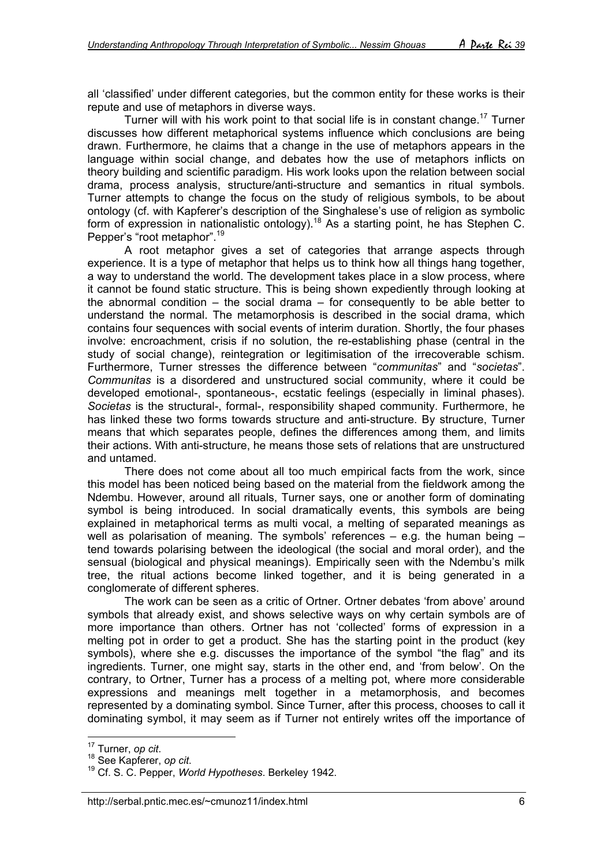all 'classified' under different categories, but the common entity for these works is their repute and use of metaphors in diverse ways.

Turner will with his work point to that social life is in constant change[.17](#page-5-0) Turner discusses how different metaphorical systems influence which conclusions are being drawn. Furthermore, he claims that a change in the use of metaphors appears in the language within social change, and debates how the use of metaphors inflicts on theory building and scientific paradigm. His work looks upon the relation between social drama, process analysis, structure/anti-structure and semantics in ritual symbols. Turner attempts to change the focus on the study of religious symbols, to be about ontology (cf. with Kapferer's description of the Singhalese's use of religion as symbolic form of expression in nationalistic ontology).<sup>18</sup> As a starting point, he has Stephen C. Pepper's "root metaphor".[19](#page-5-2)

A root metaphor gives a set of categories that arrange aspects through experience. It is a type of metaphor that helps us to think how all things hang together, a way to understand the world. The development takes place in a slow process, where it cannot be found static structure. This is being shown expediently through looking at the abnormal condition  $-$  the social drama  $-$  for consequently to be able better to understand the normal. The metamorphosis is described in the social drama, which contains four sequences with social events of interim duration. Shortly, the four phases involve: encroachment, crisis if no solution, the re-establishing phase (central in the study of social change), reintegration or legitimisation of the irrecoverable schism. Furthermore, Turner stresses the difference between "*communitas*" and "*societas*". *Communitas* is a disordered and unstructured social community, where it could be developed emotional-, spontaneous-, ecstatic feelings (especially in liminal phases). *Societas* is the structural-, formal-, responsibility shaped community. Furthermore, he has linked these two forms towards structure and anti-structure. By structure, Turner means that which separates people, defines the differences among them, and limits their actions. With anti-structure, he means those sets of relations that are unstructured and untamed.

There does not come about all too much empirical facts from the work, since this model has been noticed being based on the material from the fieldwork among the Ndembu. However, around all rituals, Turner says, one or another form of dominating symbol is being introduced. In social dramatically events, this symbols are being explained in metaphorical terms as multi vocal, a melting of separated meanings as well as polarisation of meaning. The symbols' references - e.g. the human being tend towards polarising between the ideological (the social and moral order), and the sensual (biological and physical meanings). Empirically seen with the Ndembu's milk tree, the ritual actions become linked together, and it is being generated in a conglomerate of different spheres.

The work can be seen as a critic of Ortner. Ortner debates 'from above' around symbols that already exist, and shows selective ways on why certain symbols are of more importance than others. Ortner has not 'collected' forms of expression in a melting pot in order to get a product. She has the starting point in the product (key symbols), where she e.g. discusses the importance of the symbol "the flag" and its ingredients. Turner, one might say, starts in the other end, and 'from below'. On the contrary, to Ortner, Turner has a process of a melting pot, where more considerable expressions and meanings melt together in a metamorphosis, and becomes represented by a dominating symbol. Since Turner, after this process, chooses to call it dominating symbol, it may seem as if Turner not entirely writes off the importance of

<span id="page-5-0"></span><sup>&</sup>lt;sup>17</sup> Turner, op cit.

<span id="page-5-2"></span><span id="page-5-1"></span>

<sup>17</sup> Turner, *op cit*. 18 See Kapferer, *op cit*. 19 Cf. S. C. Pepper, *World Hypotheses*. Berkeley 1942.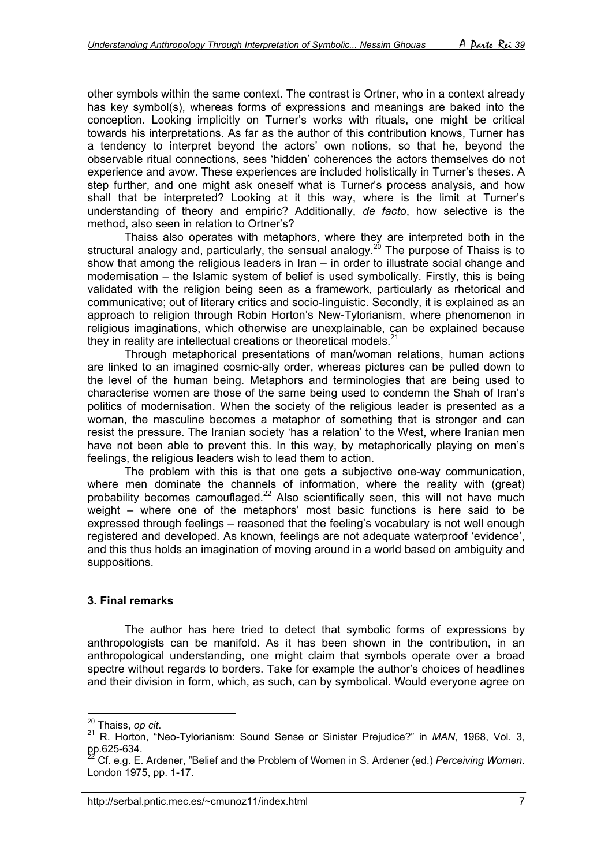other symbols within the same context. The contrast is Ortner, who in a context already has key symbol(s), whereas forms of expressions and meanings are baked into the conception. Looking implicitly on Turner's works with rituals, one might be critical towards his interpretations. As far as the author of this contribution knows, Turner has a tendency to interpret beyond the actors' own notions, so that he, beyond the observable ritual connections, sees 'hidden' coherences the actors themselves do not experience and avow. These experiences are included holistically in Turner's theses. A step further, and one might ask oneself what is Turner's process analysis, and how shall that be interpreted? Looking at it this way, where is the limit at Turner's understanding of theory and empiric? Additionally, *de facto*, how selective is the method, also seen in relation to Ortner's?

Thaiss also operates with metaphors, where they are interpreted both in the structural analogy and, particularly, the sensual analogy.<sup>20</sup> The purpose of Thaiss is to show that among the religious leaders in Iran – in order to illustrate social change and modernisation – the Islamic system of belief is used symbolically. Firstly, this is being validated with the religion being seen as a framework, particularly as rhetorical and communicative; out of literary critics and socio-linguistic. Secondly, it is explained as an approach to religion through Robin Horton's New-Tylorianism, where phenomenon in religious imaginations, which otherwise are unexplainable, can be explained because they in reality are intellectual creations or theoretical models.<sup>[21](#page-6-1)</sup>

Through metaphorical presentations of man/woman relations, human actions are linked to an imagined cosmic-ally order, whereas pictures can be pulled down to the level of the human being. Metaphors and terminologies that are being used to characterise women are those of the same being used to condemn the Shah of Iran's politics of modernisation. When the society of the religious leader is presented as a woman, the masculine becomes a metaphor of something that is stronger and can resist the pressure. The Iranian society 'has a relation' to the West, where Iranian men have not been able to prevent this. In this way, by metaphorically playing on men's feelings, the religious leaders wish to lead them to action.

The problem with this is that one gets a subjective one-way communication, where men dominate the channels of information, where the reality with (great) probability becomes camouflaged.<sup>22</sup> Also scientifically seen, this will not have much weight – where one of the metaphors' most basic functions is here said to be expressed through feelings – reasoned that the feeling's vocabulary is not well enough registered and developed. As known, feelings are not adequate waterproof 'evidence', and this thus holds an imagination of moving around in a world based on ambiguity and suppositions.

### **3. Final remarks**

The author has here tried to detect that symbolic forms of expressions by anthropologists can be manifold. As it has been shown in the contribution, in an anthropological understanding, one might claim that symbols operate over a broad spectre without regards to borders. Take for example the author's choices of headlines and their division in form, which, as such, can by symbolical. Would everyone agree on

<span id="page-6-0"></span><sup>&</sup>lt;sup>20</sup> Thaiss, op cit.

<span id="page-6-1"></span><sup>&</sup>lt;sup>21</sup> R. Horton, "Neo-Tylorianism: Sound Sense or Sinister Prejudice?" in MAN, 1968, Vol. 3,  $pp.625-634.$ 

<span id="page-6-2"></span><sup>22</sup> Cf. e.g. E. Ardener, "Belief and the Problem of Women in S. Ardener (ed.) *Perceiving Women*. London 1975, pp. 1-17.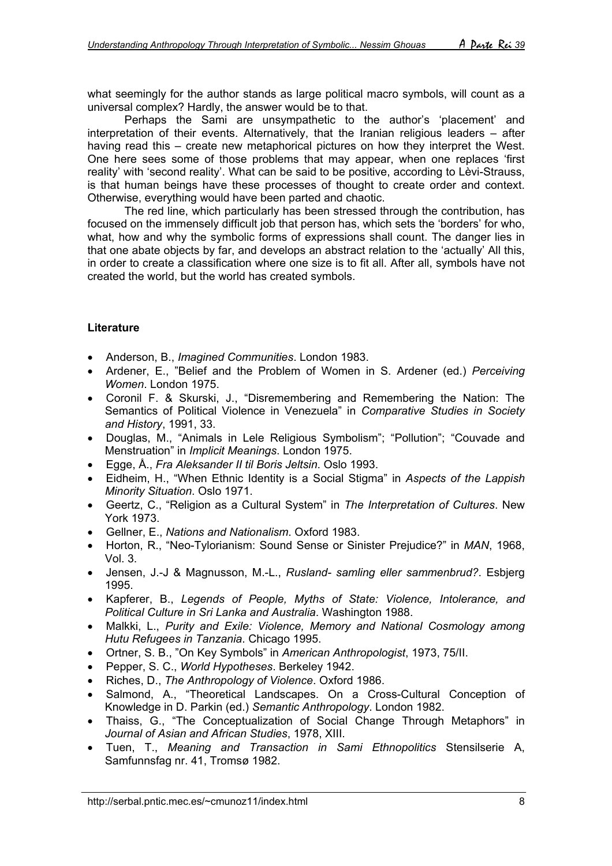what seemingly for the author stands as large political macro symbols, will count as a universal complex? Hardly, the answer would be to that.

Perhaps the Sami are unsympathetic to the author's 'placement' and interpretation of their events. Alternatively, that the Iranian religious leaders – after having read this – create new metaphorical pictures on how they interpret the West. One here sees some of those problems that may appear, when one replaces 'first reality' with 'second reality'. What can be said to be positive, according to Lèvi-Strauss, is that human beings have these processes of thought to create order and context. Otherwise, everything would have been parted and chaotic.

The red line, which particularly has been stressed through the contribution, has focused on the immensely difficult job that person has, which sets the 'borders' for who, what, how and why the symbolic forms of expressions shall count. The danger lies in that one abate objects by far, and develops an abstract relation to the 'actually' All this, in order to create a classification where one size is to fit all. After all, symbols have not created the world, but the world has created symbols.

# **Literature**

- Anderson, B., *Imagined Communities*. London 1983.
- Ardener, E., "Belief and the Problem of Women in S. Ardener (ed.) *Perceiving Women*. London 1975.
- Coronil F. & Skurski, J., "Disremembering and Remembering the Nation: The Semantics of Political Violence in Venezuela" in *Comparative Studies in Society and History*, 1991, 33.
- Douglas, M., "Animals in Lele Religious Symbolism"; "Pollution"; "Couvade and Menstruation" in *Implicit Meanings*. London 1975.
- Egge, Å., *Fra Aleksander II til Boris Jeltsin*. Oslo 1993.
- Eidheim, H., "When Ethnic Identity is a Social Stigma" in *Aspects of the Lappish Minority Situation*. Oslo 1971.
- Geertz, C., "Religion as a Cultural System" in *The Interpretation of Cultures*. New York 1973.
- Gellner, E., *Nations and Nationalism*. Oxford 1983.
- Horton, R., "Neo-Tylorianism: Sound Sense or Sinister Prejudice?" in *MAN*, 1968, Vol. 3.
- Jensen, J.-J & Magnusson, M.-L., *Rusland- samling eller sammenbrud?*. Esbjerg 1995.
- Kapferer, B., *Legends of People, Myths of State: Violence, Intolerance, and Political Culture in Sri Lanka and Australia*. Washington 1988.
- Malkki, L., *Purity and Exile: Violence, Memory and National Cosmology among Hutu Refugees in Tanzania*. Chicago 1995.
- Ortner, S. B., "On Key Symbols" in *American Anthropologist*, 1973, 75/II.
- Pepper, S. C., *World Hypotheses*. Berkeley 1942.
- Riches, D., *The Anthropology of Violence*. Oxford 1986.
- Salmond, A., "Theoretical Landscapes. On a Cross-Cultural Conception of Knowledge in D. Parkin (ed.) *Semantic Anthropology*. London 1982.
- Thaiss, G., "The Conceptualization of Social Change Through Metaphors" in *Journal of Asian and African Studies*, 1978, XIII.
- Tuen, T., *Meaning and Transaction in Sami Ethnopolitics* Stensilserie A, Samfunnsfag nr. 41, Tromsø 1982.